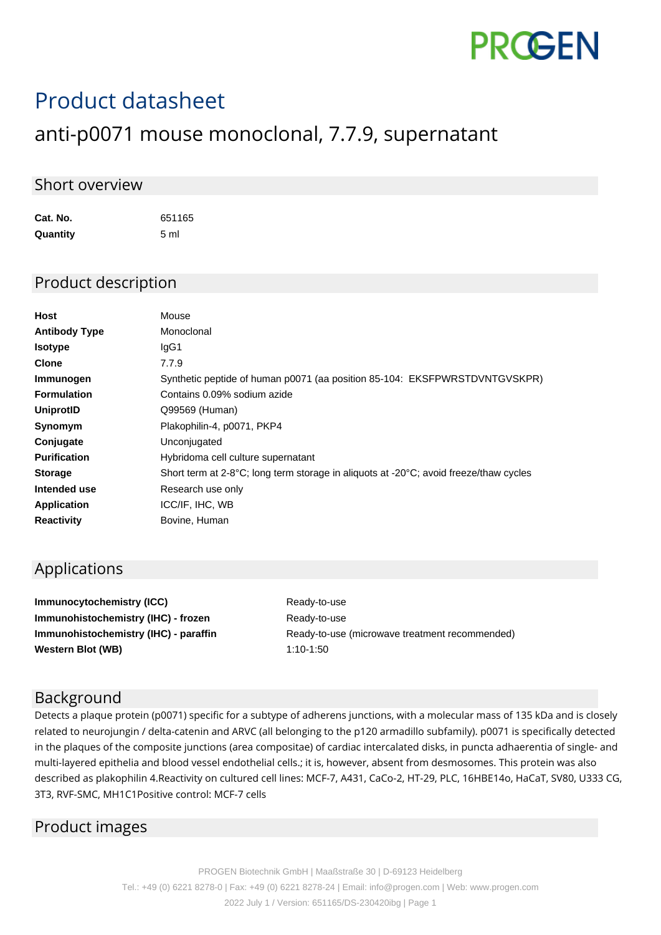

# Product datasheet

## anti-p0071 mouse monoclonal, 7.7.9, supernatant

#### Short overview

**Cat. No.** 651165 **Quantity** 5 ml

#### Product description

| Host                 | Mouse                                                                                 |
|----------------------|---------------------------------------------------------------------------------------|
| <b>Antibody Type</b> | Monoclonal                                                                            |
| <b>Isotype</b>       | IgG1                                                                                  |
| <b>Clone</b>         | 7.7.9                                                                                 |
| Immunogen            | Synthetic peptide of human p0071 (aa position 85-104: EKSFPWRSTDVNTGVSKPR)            |
| <b>Formulation</b>   | Contains 0.09% sodium azide                                                           |
| UniprotID            | Q99569 (Human)                                                                        |
| Synomym              | Plakophilin-4, p0071, PKP4                                                            |
| Conjugate            | Unconjugated                                                                          |
| <b>Purification</b>  | Hybridoma cell culture supernatant                                                    |
| <b>Storage</b>       | Short term at 2-8°C; long term storage in aliquots at -20°C; avoid freeze/thaw cycles |
| Intended use         | Research use only                                                                     |
| <b>Application</b>   | ICC/IF, IHC, WB                                                                       |
| <b>Reactivity</b>    | Bovine, Human                                                                         |
|                      |                                                                                       |

#### Applications

**Immunocytochemistry (ICC)** Ready-to-use **Immunohistochemistry (IHC) - frozen** Ready-to-use **Western Blot (WB)** 1:10-1:50

**Immunohistochemistry (IHC) - paraffin** Ready-to-use (microwave treatment recommended)

#### Background

Detects a plaque protein (p0071) specific for a subtype of adherens junctions, with a molecular mass of 135 kDa and is closely related to neurojungin / delta-catenin and ARVC (all belonging to the p120 armadillo subfamily). p0071 is specifically detected in the plaques of the composite junctions (area compositae) of cardiac intercalated disks, in puncta adhaerentia of single- and multi-layered epithelia and blood vessel endothelial cells.; it is, however, absent from desmosomes. This protein was also described as plakophilin 4.Reactivity on cultured cell lines: MCF-7, A431, CaCo-2, HT-29, PLC, 16HBE14o, HaCaT, SV80, U333 CG, 3T3, RVF-SMC, MH1C1Positive control: MCF-7 cells

### Product images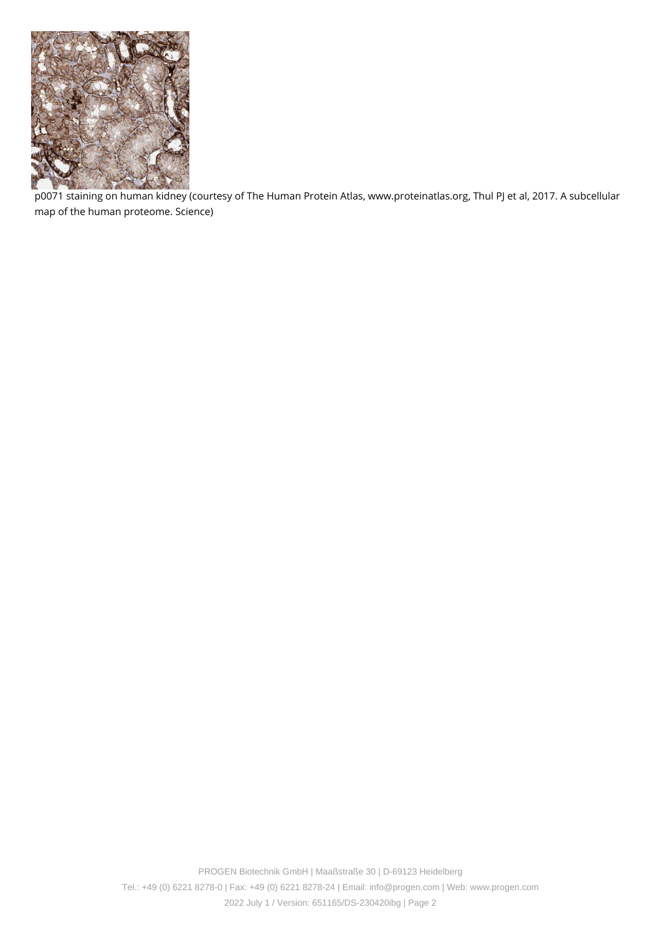

p0071 staining on human kidney (courtesy of The Human Protein Atlas, www.proteinatlas.org, Thul PJ et al, 2017. A subcellular map of the human proteome. Science)